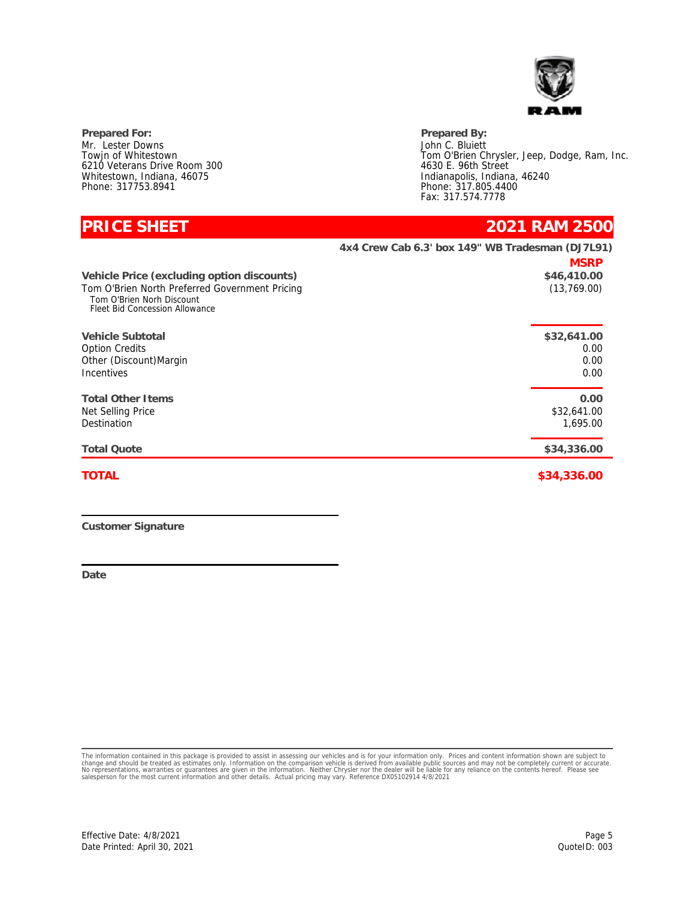

**Prepared For: Prepared By:** Mr. Lester Downs Towjn of Whitestown 6210 Veterans Drive Room 300 Whitestown, Indiana, 46075 Phone: 317753.8941

John C. Bluiett Tom O'Brien Chrysler, Jeep, Dodge, Ram, Inc. 4630 E. 96th Street Indianapolis, Indiana, 46240 Phone: 317.805.4400 Fax: 317.574.7778

| <b>PRICE SHEET</b>                                                                                                                                          | 2021 RAM 2500                                                   |
|-------------------------------------------------------------------------------------------------------------------------------------------------------------|-----------------------------------------------------------------|
|                                                                                                                                                             | 4x4 Crew Cab 6.3' box 149" WB Tradesman (DJ7L91)<br><b>MSRP</b> |
| Vehicle Price (excluding option discounts)<br>Tom O'Brien North Preferred Government Pricing<br>Tom O'Brien Norh Discount<br>Fleet Bid Concession Allowance | \$46,410.00<br>(13, 769.00)                                     |
| Vehicle Subtotal<br><b>Option Credits</b><br>Other (Discount) Margin<br><b>Incentives</b>                                                                   | \$32,641.00<br>0.00<br>0.00<br>0.00                             |
| <b>Total Other I tems</b><br>Net Selling Price<br>Destination                                                                                               | 0.00<br>\$32,641.00<br>1,695.00                                 |
| <b>Total Quote</b>                                                                                                                                          | \$34,336.00                                                     |
| <b>TOTAL</b>                                                                                                                                                | \$34,336.00                                                     |

**Customer Signature**

**Date**

The information contained in this package is provided to assist in assessing our vehicles and is for your information only. Prices and content information shown are subject to<br>change and should be treated as estimates only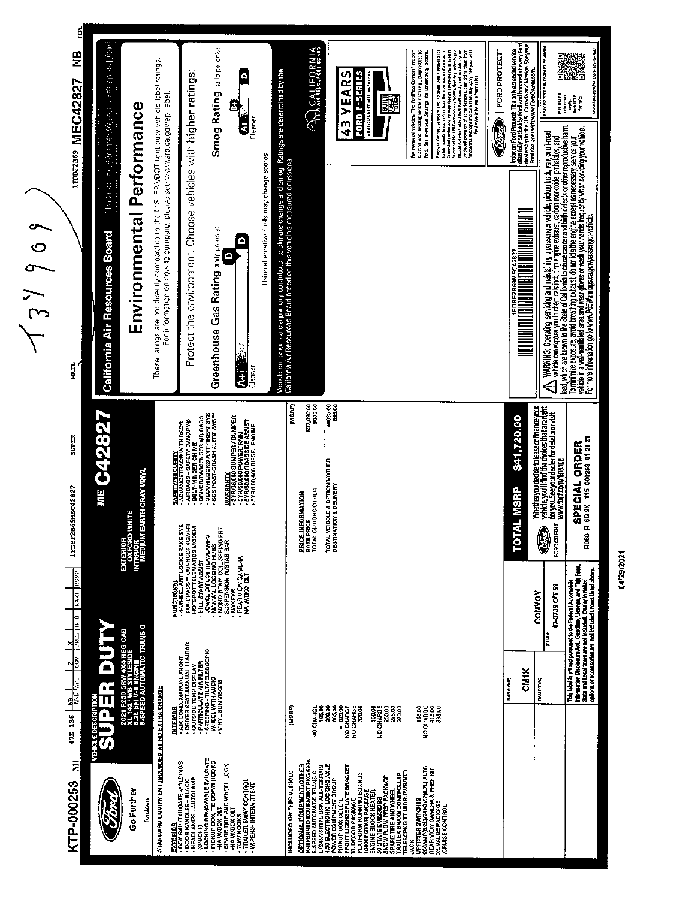

04/29/2021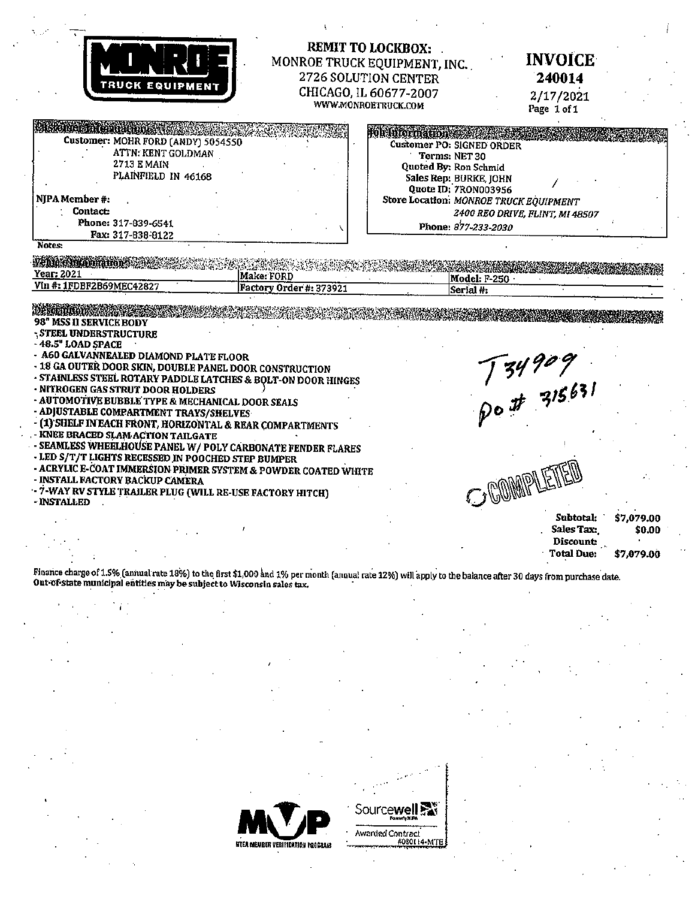| <b>TRUCK EQUIPMENT</b>                                                                                                                                                                                                                                                                                                                                                                                                                                                                  | REMIT TO LOCKBOX:<br>2726 SOLUTION CENTER<br>CHICAGO, IL 60677-2007<br>WWW.MONROETRUCK.COM | MONROE TRUCK EQUIPMENT, INC.                                                                                                                                                                                                                                | <b>INVOICE</b><br>240014<br>2/17/2021                                                           |
|-----------------------------------------------------------------------------------------------------------------------------------------------------------------------------------------------------------------------------------------------------------------------------------------------------------------------------------------------------------------------------------------------------------------------------------------------------------------------------------------|--------------------------------------------------------------------------------------------|-------------------------------------------------------------------------------------------------------------------------------------------------------------------------------------------------------------------------------------------------------------|-------------------------------------------------------------------------------------------------|
| <b>CASK HVAL TALE MEDICAL</b><br>Customer: MOHR FORD (ANDY) 5054550<br>ATTN: KENT GOLDMAN<br><b>2713 E MAIN</b><br>PLAINFIELD IN 46168<br>NJPA Member #:<br><b>Contact:</b><br>Phone: 317-839-6541<br>Fax: 317-838-8122                                                                                                                                                                                                                                                                 |                                                                                            | <b>POLATIONIAL CODE</b><br><b>Customer PO: SIGNED ORDER</b><br>Terms: NET 30<br>Quoted By: Ron Schmid<br>Sales Rep: BURKE, JOHN<br>Quote ID: 7RON003956<br>Store Location: MONROE TRUCK EQUIPMENT<br>2400 REO DRIVE, FLINT, MI 48507<br>Phone: 877-233-2030 | Page 1 of 1                                                                                     |
| Notes:<br>Ventale incompation and<br>Year: 2021<br>Vin #: 1FDBF2B69MEC42827                                                                                                                                                                                                                                                                                                                                                                                                             | Make: FORD<br>Factory Order #: 373921                                                      | Model: F-250<br>Serial #:                                                                                                                                                                                                                                   |                                                                                                 |
| 98" MSS II SERVICE BODY<br><b>STEEL UNDERSTRUCTURE</b><br>-48.5" LOAD SPACE<br>- A60 GALVANNEALED DIAMOND PLATE FLOOR<br>- 18 GA OUTER DOOR SKIN, DOUBLE PANEL DOOR CONSTRUCTION<br>- STAINLESS STEEL ROTARY PADDLE LATCHES & BOLT-ON DOOR HINGES<br>- NITROGEN GAS STRUT DOOR HOLDERS<br>- AUTOMOTIVE BUBBLE TYPE & MECHANICAL DOOR SEALS<br>- ADJUSTABLE COMPARTMENT TRAYS/SHELVES<br>- (1) SHELF IN EACH FRONT, HORIZONTAL & REAR COMPARTMENTS<br>- KNEE BRACED SLAM ACTION TAILGATE |                                                                                            |                                                                                                                                                                                                                                                             | $134909$<br>po#315631                                                                           |
| - SEAMLESS WHEELHOUSE PANEL W/ POLY CARBONATE FENDER FLARES<br>- LED S/T/T LIGHTS RECESSED IN POOCHED STEP BUMPER<br>- ACRYLIC E-COAT IMMERSION PRIMER SYSTEM & POWDER COATED WHITE<br>- INSTALL FACTORY BACKUP CAMERA<br>- 7-WAY RV STYLE TRAILER PLUG (WILL RE-USE FACTORY HITCH)<br>- INSTALLED                                                                                                                                                                                      |                                                                                            | COMMPLETTE                                                                                                                                                                                                                                                  | Subtotal:<br>\$7,079.00<br>Sales Tax:<br>\$0.00<br>Discount:<br><b>Total Due:</b><br>\$7,079.00 |

Finance charge of 1.5% (annual rate 18%) to the first \$1,000 and 1% per month (annual rate 12%) will apply to the balance after 30 days from purchase date.<br>Out-of-state municipal entities may be subject to Wisconsin sales



Sourcewell Sav Awarded Contract<br>#080114-MTE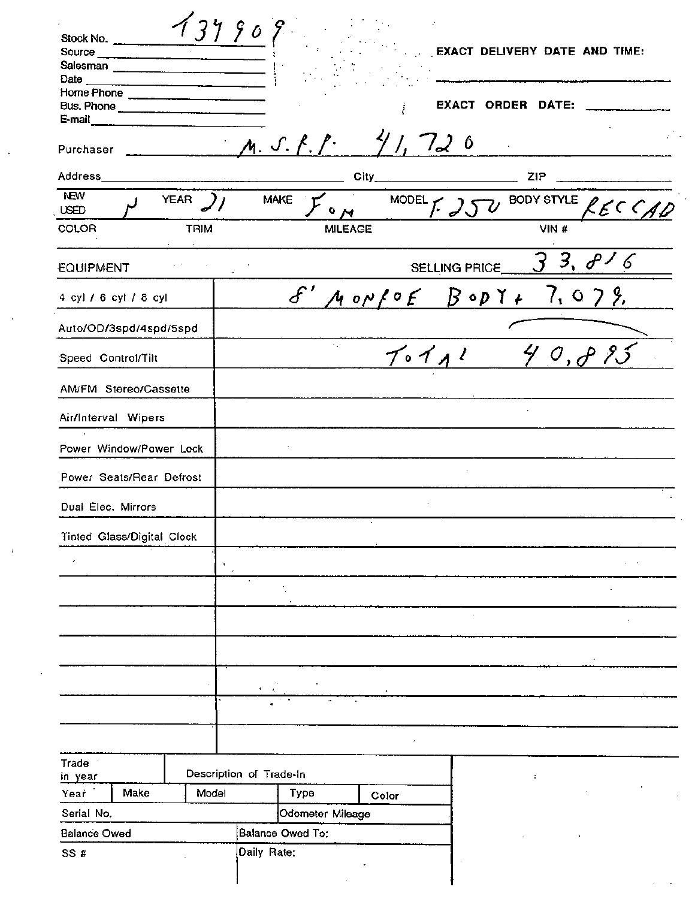| Source<br>Salesman _______________________ |             |                                         |                      |                 |                         |                          | EXACT DELIVERY DATE AND TIME: |
|--------------------------------------------|-------------|-----------------------------------------|----------------------|-----------------|-------------------------|--------------------------|-------------------------------|
| Date<br>Home Phone ______________________  |             |                                         |                      |                 |                         |                          |                               |
|                                            |             |                                         |                      |                 |                         | <b>EXACT ORDER DATE:</b> |                               |
| E-mail                                     |             |                                         |                      |                 |                         |                          |                               |
| Purchaser                                  |             |                                         | M. S. f. P           |                 | 720                     | $\mathbf{r}$             |                               |
| Address                                    |             |                                         |                      | City            |                         | ZIP                      |                               |
| <b>NEW</b><br><b>USED</b>                  | <b>YEAR</b> | <b>MAKE</b>                             |                      | <b>MODEL</b>    |                         |                          | BODY STYLE RECCA              |
| COLOR                                      | <b>TRIM</b> |                                         | <b>MILEAGE</b>       |                 |                         | VIN#                     |                               |
| EQUIPMENT                                  |             |                                         |                      |                 | SELLING PRICE           |                          | $3, \theta$                   |
|                                            |             |                                         |                      |                 |                         |                          |                               |
| 4 cyl / 6 cyl / 8 cyl                      |             |                                         | $\hat{\mathcal{E}}'$ | $M$ op $f$ of   | $B \circ p \curlyvee f$ | 7 <sub>1</sub>           | 0.7.8                         |
| Auto/OD/3spd/4spd/5spd                     |             |                                         |                      |                 |                         |                          |                               |
| Speed Control/Tilt                         |             |                                         | $\sim 10$            | $T \circ T$ $1$ |                         |                          | $\mathcal{O}$ , $\mathcal{O}$ |
| AM/FM Stereo/Cassette                      |             |                                         |                      |                 |                         |                          |                               |
| Air/Interval Wipers                        |             |                                         |                      |                 |                         |                          |                               |
| Power Window/Power Lock                    |             |                                         |                      |                 |                         |                          |                               |
| Power Seats/Rear Defrost                   |             |                                         |                      |                 |                         |                          |                               |
| Dual Elec. Mirrors                         |             |                                         |                      |                 |                         |                          |                               |
| Tinted Glass/Digital Clock                 |             |                                         |                      |                 |                         |                          |                               |
|                                            |             |                                         |                      |                 |                         |                          |                               |
| $\pmb{r}$                                  | ٠<br>$\sim$ | $\blacksquare$                          |                      |                 |                         |                          |                               |
|                                            |             |                                         |                      |                 |                         |                          |                               |
|                                            |             |                                         |                      |                 |                         |                          |                               |
|                                            |             |                                         |                      |                 |                         |                          |                               |
|                                            |             |                                         |                      |                 |                         |                          |                               |
|                                            |             |                                         |                      |                 |                         |                          |                               |
|                                            |             | $\pmb{\ast}$<br>$\mathbf{r}_\mathrm{c}$ |                      |                 |                         |                          |                               |
|                                            |             |                                         |                      |                 |                         |                          |                               |
|                                            |             |                                         |                      |                 |                         |                          |                               |
| Trade 1                                    |             | Description of Trade-In                 |                      |                 |                         |                          |                               |
| in year<br>Make<br>Year                    | Model       |                                         | Type                 | Color           |                         | $\ddot{\phantom{a}}$     |                               |
|                                            |             |                                         |                      |                 |                         |                          |                               |
|                                            |             |                                         |                      |                 |                         |                          |                               |
| Serial No.<br><b>Balance Owed</b>          |             | Balance Owed To:                        | Odometer Mileage     |                 |                         |                          |                               |